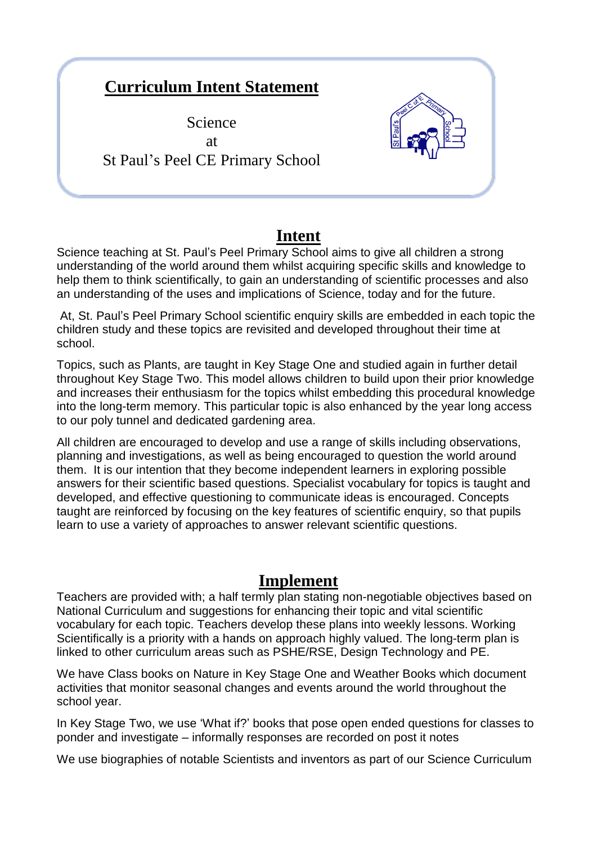## **Curriculum Intent Statement**

Science at St Paul's Peel CE Primary School



## **Intent**

Science teaching at St. Paul's Peel Primary School aims to give all children a strong understanding of the world around them whilst acquiring specific skills and knowledge to help them to think scientifically, to gain an understanding of scientific processes and also an understanding of the uses and implications of Science, today and for the future.

At, St. Paul's Peel Primary School scientific enquiry skills are embedded in each topic the children study and these topics are revisited and developed throughout their time at school.

Topics, such as Plants, are taught in Key Stage One and studied again in further detail throughout Key Stage Two. This model allows children to build upon their prior knowledge and increases their enthusiasm for the topics whilst embedding this procedural knowledge into the long-term memory. This particular topic is also enhanced by the year long access to our poly tunnel and dedicated gardening area.

All children are encouraged to develop and use a range of skills including observations, planning and investigations, as well as being encouraged to question the world around them. It is our intention that they become independent learners in exploring possible answers for their scientific based questions. Specialist vocabulary for topics is taught and developed, and effective questioning to communicate ideas is encouraged. Concepts taught are reinforced by focusing on the key features of scientific enquiry, so that pupils learn to use a variety of approaches to answer relevant scientific questions.

## **Implement**

Teachers are provided with; a half termly plan stating non-negotiable objectives based on National Curriculum and suggestions for enhancing their topic and vital scientific vocabulary for each topic. Teachers develop these plans into weekly lessons. Working Scientifically is a priority with a hands on approach highly valued. The long-term plan is linked to other curriculum areas such as PSHE/RSE, Design Technology and PE.

We have Class books on Nature in Key Stage One and Weather Books which document activities that monitor seasonal changes and events around the world throughout the school year.

In Key Stage Two, we use 'What if?' books that pose open ended questions for classes to ponder and investigate – informally responses are recorded on post it notes

We use biographies of notable Scientists and inventors as part of our Science Curriculum